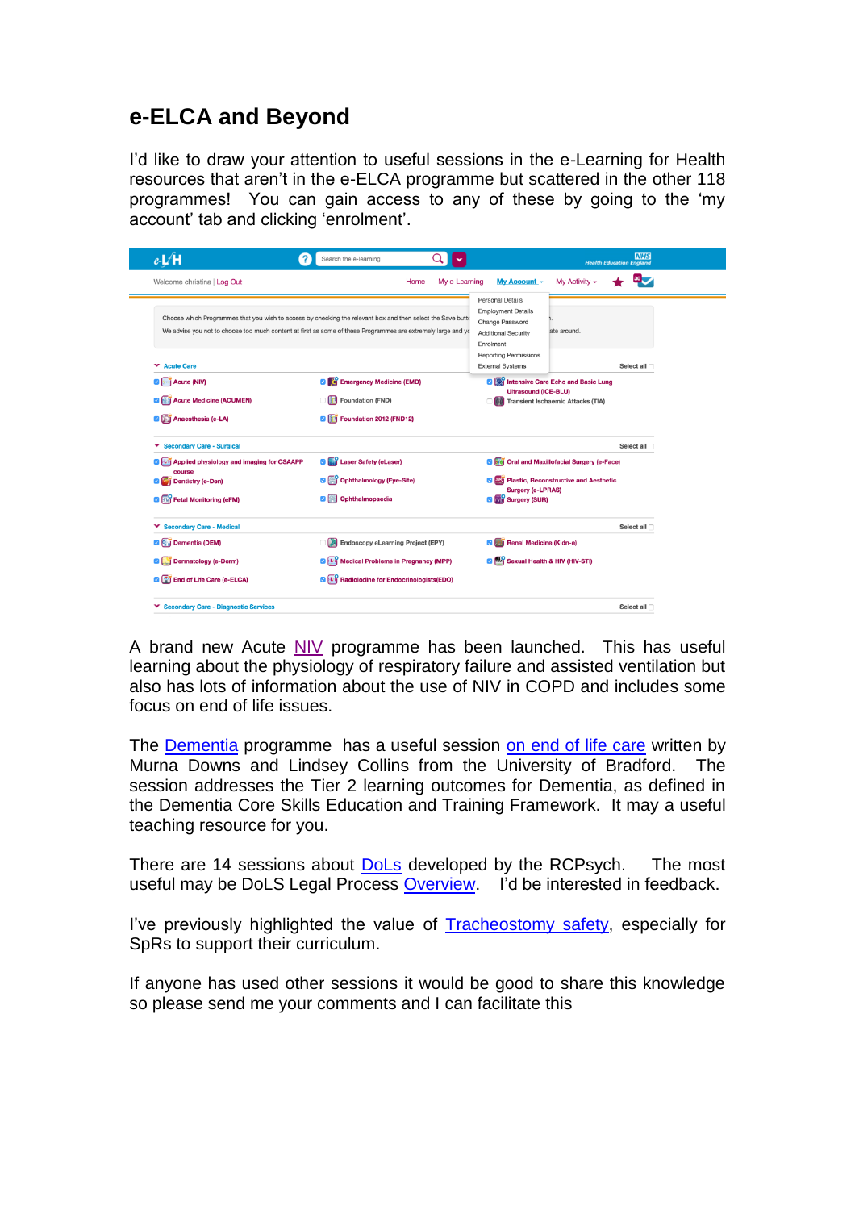## **e-ELCA and Beyond**

I'd like to draw your attention to useful sessions in the e-Learning for Health resources that aren't in the e-ELCA programme but scattered in the other 118 programmes! You can gain access to any of these by going to the 'my account' tab and clicking 'enrolment'.

| eL/H                                                                                                                                                                                                                                         | Search the e-learning                             |               |                                                                                                                                                                        |               | <b>NHS</b><br><b>Health Education England</b> |
|----------------------------------------------------------------------------------------------------------------------------------------------------------------------------------------------------------------------------------------------|---------------------------------------------------|---------------|------------------------------------------------------------------------------------------------------------------------------------------------------------------------|---------------|-----------------------------------------------|
| Welcome christina   Log Out                                                                                                                                                                                                                  | Home                                              | My e-Learning | My Account -                                                                                                                                                           | My Activity - |                                               |
| Choose which Programmes that you wish to access by checking the relevant box and then select the Save butto<br>We advise you not to choose too much content at first as some of these Programmes are extremely large and you<br>▼ Acute Care |                                                   |               | Personal Details<br><b>Employment Details</b><br>Change Password<br><b>Additional Security</b><br>Enrolment<br><b>Reporting Permissions</b><br><b>External Systems</b> | ate around.   | Select all                                    |
| <b>O Acute</b> (NIV)                                                                                                                                                                                                                         | <b>D</b> Emergency Medicine (EMD)                 |               | <b>D D</b> <sup>2</sup> Intensive Care Echo and Basic Lung                                                                                                             |               |                                               |
| <b>Z Acute Medicine (ACUMEN)</b>                                                                                                                                                                                                             | <b>Foundation (FND)</b><br>$\cap$ iid             |               | <b>Ultrasound (ICE-BLU)</b><br>Transient Ischaemic Attacks (TIA)                                                                                                       |               |                                               |
| <b>2 M</b> Anaesthesia (e-LA)                                                                                                                                                                                                                | <sup>3</sup> Foundation 2012 (FND12)              |               |                                                                                                                                                                        |               |                                               |
| <b>Secondary Care - Surgical</b>                                                                                                                                                                                                             |                                                   |               |                                                                                                                                                                        |               | Select all                                    |
| 2 Lij Applied physiology and imaging for CSAAPP<br>course                                                                                                                                                                                    | Laser Safety (eLaser)<br>øI                       |               | <b>2 Fej Oral and Maxillofacial Surgery (e-Face)</b>                                                                                                                   |               |                                               |
| Dentistry (e-Den)                                                                                                                                                                                                                            | Ophthalmology (Eye-Site)                          |               | Plastic, Reconstructive and Aesthetic                                                                                                                                  |               |                                               |
| <b>D</b> Full Fetal Monitoring (eFM)                                                                                                                                                                                                         | Ophthalmopaedia                                   |               | <b>Surgery (e-LPRAS)</b><br><b>D</b> M Surgery (SUR)                                                                                                                   |               |                                               |
| ▼ Secondary Care - Medical                                                                                                                                                                                                                   |                                                   |               |                                                                                                                                                                        |               | Select all                                    |
| <b>2 a</b> Dementia (DEM)                                                                                                                                                                                                                    | ் இ<br><b>Endoscopy eLearning Project (EPY)</b>   |               | Renal Medicine (Kidn-e)<br>øı                                                                                                                                          |               |                                               |
| Dermatology (e-Derm)                                                                                                                                                                                                                         | <b>DET Medical Problems in Pregnancy (MPP)</b>    |               | Sexual Health & HIV (HIV-STI)                                                                                                                                          |               |                                               |
| <b>D E</b> nd of Life Care (e-ELCA)                                                                                                                                                                                                          | <b>D</b> Un Radioiodine for Endocrinologists(EDO) |               |                                                                                                                                                                        |               |                                               |
| ▼ Secondary Care - Diagnostic Services                                                                                                                                                                                                       |                                                   |               |                                                                                                                                                                        |               | Select all                                    |

A brand new Acute [NIV](http://portal.e-lfh.org.uk/Component/Details/432863) programme has been launched. This has useful learning about the physiology of respiratory failure and assisted ventilation but also has lots of information about the use of NIV in COPD and includes some focus on end of life issues.

The **Dementia** programme has a useful session [on end of life care](http://portal.e-lfh.org.uk/Component/Details/410302) written by Murna Downs and Lindsey Collins from the University of Bradford. The session addresses the Tier 2 learning outcomes for Dementia, as defined in the Dementia Core Skills Education and Training Framework. It may a useful teaching resource for you.

There are 14 sessions about **DoLs** developed by the RCPsych. The most useful may be DoLS Legal Process [Overview.](http://portal.e-lfh.org.uk/Component/Details/420120) I'd be interested in feedback.

I've previously highlighted the value of [Tracheostomy safety,](http://portal.e-lfh.org.uk/Component/Details/391224) especially for SpRs to support their curriculum.

If anyone has used other sessions it would be good to share this knowledge so please send me your comments and I can facilitate this